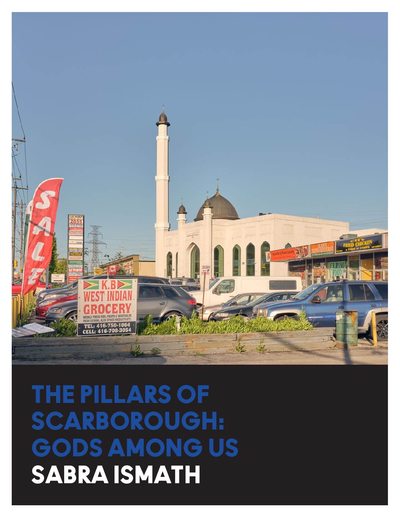## THE PILLARS OF SCARBOROUGH: GODS AMONG US SABRA ISMATH

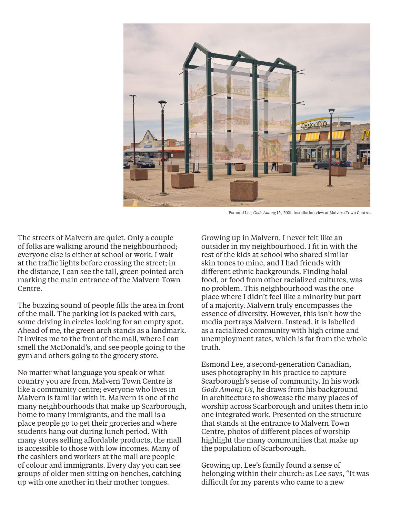

Esmond Lee, *Gods Among Us,* 2021, installation view at Malvern Town Centre.

The streets of Malvern are quiet. Only a couple of folks are walking around the neighbourhood; everyone else is either at school or work. I wait at the traffic lights before crossing the street; in the distance, I can see the tall, green pointed arch marking the main entrance of the Malvern Town Centre.

The buzzing sound of people fills the area in front of the mall. The parking lot is packed with cars, some driving in circles looking for an empty spot. Ahead of me, the green arch stands as a landmark. It invites me to the front of the mall, where I can smell the McDonald's, and see people going to the gym and others going to the grocery store.

No matter what language you speak or what country you are from, Malvern Town Centre is like a community centre; everyone who lives in Malvern is familiar with it. Malvern is one of the many neighbourhoods that make up Scarborough, home to many immigrants, and the mall is a place people go to get their groceries and where students hang out during lunch period. With many stores selling affordable products, the mall is accessible to those with low incomes. Many of the cashiers and workers at the mall are people of colour and immigrants. Every day you can see groups of older men sitting on benches, catching up with one another in their mother tongues.

Growing up in Malvern, I never felt like an outsider in my neighbourhood. I fit in with the rest of the kids at school who shared similar skin tones to mine, and I had friends with different ethnic backgrounds. Finding halal food, or food from other racialized cultures, was no problem. This neighbourhood was the one place where I didn't feel like a minority but part of a majority. Malvern truly encompasses the essence of diversity. However, this isn't how the media portrays Malvern. Instead, it is labelled as a racialized community with high crime and unemployment rates, which is far from the whole truth.

Esmond Lee, a second-generation Canadian, uses photography in his practice to capture Scarborough's sense of community. In his work *Gods Among Us*, he draws from his background in architecture to showcase the many places of worship across Scarborough and unites them into one integrated work. Presented on the structure that stands at the entrance to Malvern Town Centre, photos of different places of worship highlight the many communities that make up the population of Scarborough.

Growing up, Lee's family found a sense of belonging within their church: as Lee says, "It was difficult for my parents who came to a new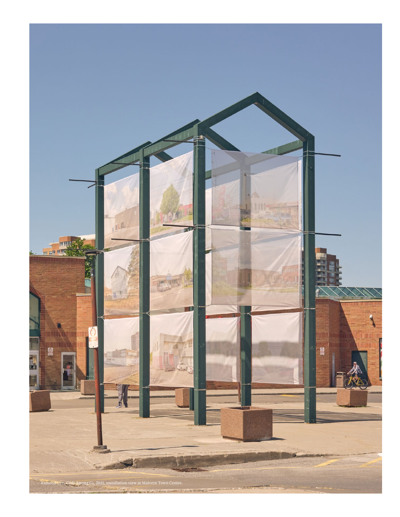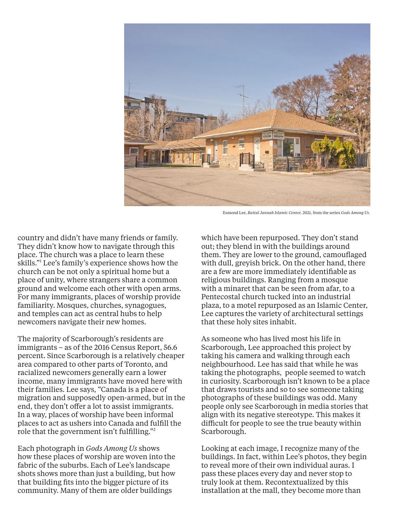

Esmond Lee, *Baitul Jannah Islamic Center,* 2021, from the series *Gods Among Us*.

country and didn't have many friends or family. They didn't know how to navigate through this place. The church was a place to learn these skills."1 Lee's family's experience shows how the church can be not only a spiritual home but a place of unity, where strangers share a common ground and welcome each other with open arms. For many immigrants, places of worship provide familiarity. Mosques, churches, synagogues, and temples can act as central hubs to help newcomers navigate their new homes.

The majority of Scarborough's residents are immigrants – as of the 2016 Census Report, 56.6 percent. Since Scarborough is a relatively cheaper area compared to other parts of Toronto, and racialized newcomers generally earn a lower income, many immigrants have moved here with their families. Lee says, "Canada is a place of migration and supposedly open-armed, but in the end, they don't offer a lot to assist immigrants. In a way, places of worship have been informal places to act as ushers into Canada and fulfill the role that the government isn't fulfilling."<sup>2</sup>

Each photograph in *Gods Among Us* shows how these places of worship are woven into the fabric of the suburbs. Each of Lee's landscape shots shows more than just a building, but how that building fits into the bigger picture of its community. Many of them are older buildings

which have been repurposed. They don't stand out; they blend in with the buildings around them. They are lower to the ground, camouflaged with dull, greyish brick. On the other hand, there are a few are more immediately identifiable as religious buildings. Ranging from a mosque with a minaret that can be seen from afar, to a Pentecostal church tucked into an industrial plaza, to a motel repurposed as an Islamic Center, Lee captures the variety of architectural settings that these holy sites inhabit.

As someone who has lived most his life in Scarborough, Lee approached this project by taking his camera and walking through each neighbourhood. Lee has said that while he was taking the photographs, people seemed to watch in curiosity. Scarborough isn't known to be a place that draws tourists and so to see someone taking photographs of these buildings was odd. Many people only see Scarborough in media stories that align with its negative stereotype. This makes it difficult for people to see the true beauty within Scarborough.

Looking at each image, I recognize many of the buildings. In fact, within Lee's photos, they begin to reveal more of their own individual auras. I pass these places every day and never stop to truly look at them. Recontextualized by this installation at the mall, they become more than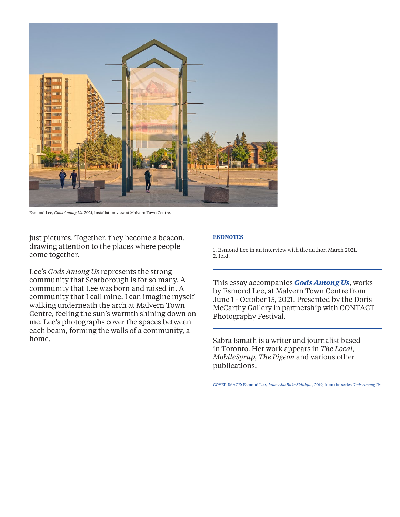

Esmond Lee, *Gods Among Us,* 2021, installation view at Malvern Town Centre.

just pictures. Together, they become a beacon, drawing attention to the places where people come together.

Lee's *Gods Among Us* represents the strong community that Scarborough is for so many. A community that Lee was born and raised in. A community that I call mine. I can imagine myself walking underneath the arch at Malvern Town Centre, feeling the sun's warmth shining down on me. Lee's photographs cover the spaces between each beam, forming the walls of a community, a home.

## **ENDNOTES**

1. Esmond Lee in an interview with the author, March 2021. 2. Ibid.

This essay accompanies *Gods Among Us*, works by Esmond Lee, at Malvern Town Centre from June 1 - October 15, 2021. Presented by the Doris McCarthy Gallery in partnership with CONTACT Photography Festival.

Sabra Ismath is a writer and journalist based in Toronto. Her work appears in *The Local, MobileSyrup, The Pigeon* and various other publications.

COVER IMAGE: Esmond Lee, *Jame Abu Bakr Siddique*, 2019, from the series *Gods Among Us.*